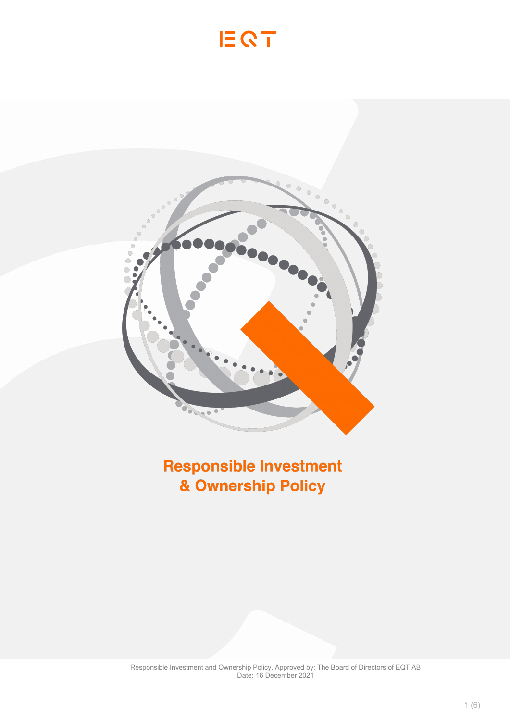# EQT



## **Responsible Investment** & Ownership Policy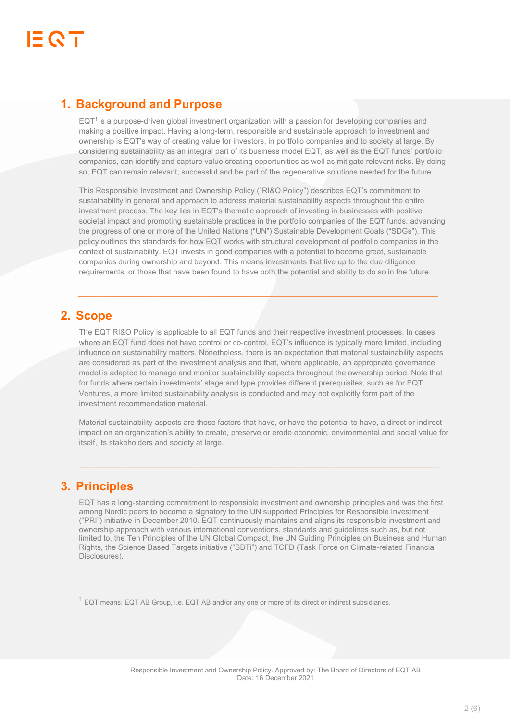## **1. Background and Purpose**

EQT<sup>1</sup> is a purpose-driven global investment organization with a passion for developing companies and making a positive impact. Having a long-term, responsible and sustainable approach to investment and ownership is EQT's way of creating value for investors, in portfolio companies and to society at large. By considering sustainability as an integral part of its business model EQT, as well as the EQT funds' portfolio companies, can identify and capture value creating opportunities as well as mitigate relevant risks. By doing so, EQT can remain relevant, successful and be part of the regenerative solutions needed for the future.

This Responsible Investment and Ownership Policy ("RI&O Policy") describes EQT's commitment to sustainability in general and approach to address material sustainability aspects throughout the entire investment process. The key lies in EQT's thematic approach of investing in businesses with positive societal impact and promoting sustainable practices in the portfolio companies of the EQT funds, advancing the progress of one or more of the United Nations ("UN") Sustainable Development Goals ("SDGs"). This policy outlines the standards for how EQT works with structural development of portfolio companies in the context of sustainability. EQT invests in good companies with a potential to become great, sustainable companies during ownership and beyond. This means investments that live up to the due diligence requirements, or those that have been found to have both the potential and ability to do so in the future.

\_\_\_\_\_\_\_\_\_\_\_\_\_\_\_\_\_\_\_\_\_\_\_\_\_\_\_\_\_\_\_\_\_\_\_\_\_\_\_\_\_\_\_\_\_\_\_\_\_\_\_\_\_\_\_\_\_\_\_\_\_\_\_\_\_\_\_\_\_\_\_\_\_\_\_\_\_\_\_\_\_\_\_\_

## **2. Scope**

The EQT RI&O Policy is applicable to all EQT funds and their respective investment processes. In cases where an EQT fund does not have control or co-control, EQT's influence is typically more limited, including influence on sustainability matters. Nonetheless, there is an expectation that material sustainability aspects are considered as part of the investment analysis and that, where applicable, an appropriate governance model is adapted to manage and monitor sustainability aspects throughout the ownership period. Note that for funds where certain investments' stage and type provides different prerequisites, such as for EQT Ventures, a more limited sustainability analysis is conducted and may not explicitly form part of the investment recommendation material.

Material sustainability aspects are those factors that have, or have the potential to have, a direct or indirect impact on an organization's ability to create, preserve or erode economic, environmental and social value for itself, its stakeholders and society at large.

 $\_$  , and the set of the set of the set of the set of the set of the set of the set of the set of the set of the set of the set of the set of the set of the set of the set of the set of the set of the set of the set of th

## **3. Principles**

EQT has a long-standing commitment to responsible investment and ownership principles and was the first among Nordic peers to become a signatory to the UN supported Principles for Responsible Investment ("PRI") initiative in December 2010. EQT continuously maintains and aligns its responsible investment and ownership approach with various international conventions, standards and guidelines such as, but not limited to, the Ten Principles of the UN Global Compact, the UN Guiding Principles on Business and Human Rights, the Science Based Targets initiative ("SBTi") and TCFD (Task Force on Climate-related Financial Disclosures).

 $1$  EQT means: EQT AB Group, i.e. EQT AB and/or any one or more of its direct or indirect subsidiaries.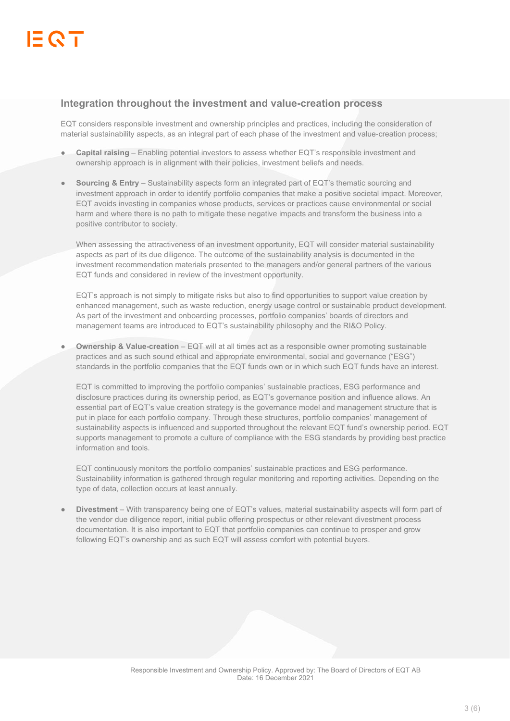#### **Integration throughout the investment and value-creation process**

EQT considers responsible investment and ownership principles and practices, including the consideration of material sustainability aspects, as an integral part of each phase of the investment and value-creation process;

- **Capital raising** Enabling potential investors to assess whether EQT's responsible investment and ownership approach is in alignment with their policies, investment beliefs and needs.
- **Sourcing & Entry** Sustainability aspects form an integrated part of EQT's thematic sourcing and investment approach in order to identify portfolio companies that make a positive societal impact. Moreover, EQT avoids investing in companies whose products, services or practices cause environmental or social harm and where there is no path to mitigate these negative impacts and transform the business into a positive contributor to society.

When assessing the attractiveness of an investment opportunity, EQT will consider material sustainability aspects as part of its due diligence. The outcome of the sustainability analysis is documented in the investment recommendation materials presented to the managers and/or general partners of the various EQT funds and considered in review of the investment opportunity.

EQT's approach is not simply to mitigate risks but also to find opportunities to support value creation by enhanced management, such as waste reduction, energy usage control or sustainable product development. As part of the investment and onboarding processes, portfolio companies' boards of directors and management teams are introduced to EQT's sustainability philosophy and the RI&O Policy.

**Ownership & Value-creation** – EQT will at all times act as a responsible owner promoting sustainable practices and as such sound ethical and appropriate environmental, social and governance ("ESG") standards in the portfolio companies that the EQT funds own or in which such EQT funds have an interest.

EQT is committed to improving the portfolio companies' sustainable practices, ESG performance and disclosure practices during its ownership period, as EQT's governance position and influence allows. An essential part of EQT's value creation strategy is the governance model and management structure that is put in place for each portfolio company. Through these structures, portfolio companies' management of sustainability aspects is influenced and supported throughout the relevant EQT fund's ownership period. EQT supports management to promote a culture of compliance with the ESG standards by providing best practice information and tools.

EQT continuously monitors the portfolio companies' sustainable practices and ESG performance. Sustainability information is gathered through regular monitoring and reporting activities. Depending on the type of data, collection occurs at least annually.

**Divestment** – With transparency being one of EQT's values, material sustainability aspects will form part of the vendor due diligence report, initial public offering prospectus or other relevant divestment process documentation. It is also important to EQT that portfolio companies can continue to prosper and grow following EQT's ownership and as such EQT will assess comfort with potential buyers.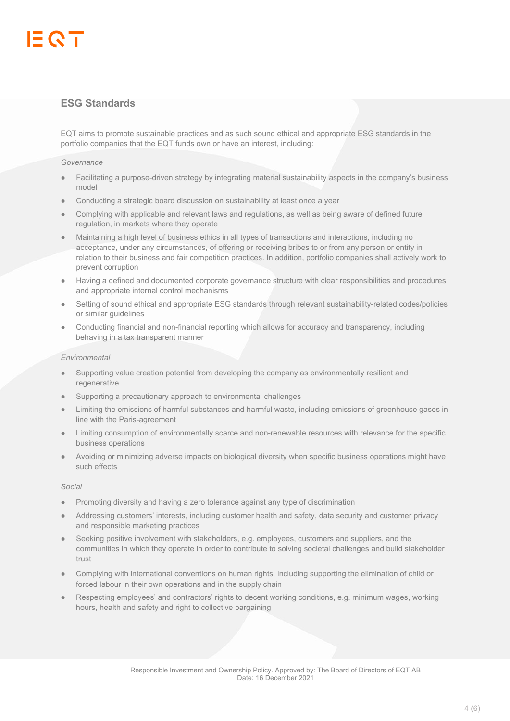### **ESG Standards**

EQT aims to promote sustainable practices and as such sound ethical and appropriate ESG standards in the portfolio companies that the EQT funds own or have an interest, including:

#### *Governance*

- Facilitating a purpose-driven strategy by integrating material sustainability aspects in the company's business model
- Conducting a strategic board discussion on sustainability at least once a year
- Complying with applicable and relevant laws and regulations, as well as being aware of defined future regulation, in markets where they operate
- Maintaining a high level of business ethics in all types of transactions and interactions, including no acceptance, under any circumstances, of offering or receiving bribes to or from any person or entity in relation to their business and fair competition practices. In addition, portfolio companies shall actively work to prevent corruption
- Having a defined and documented corporate governance structure with clear responsibilities and procedures and appropriate internal control mechanisms
- Setting of sound ethical and appropriate ESG standards through relevant sustainability-related codes/policies or similar guidelines
- Conducting financial and non-financial reporting which allows for accuracy and transparency, including behaving in a tax transparent manner

#### *Environmental*

- Supporting value creation potential from developing the company as environmentally resilient and regenerative
- Supporting a precautionary approach to environmental challenges
- Limiting the emissions of harmful substances and harmful waste, including emissions of greenhouse gases in line with the Paris-agreement
- Limiting consumption of environmentally scarce and non-renewable resources with relevance for the specific business operations
- Avoiding or minimizing adverse impacts on biological diversity when specific business operations might have such effects

#### *Social*

- Promoting diversity and having a zero tolerance against any type of discrimination
- Addressing customers' interests, including customer health and safety, data security and customer privacy and responsible marketing practices
- Seeking positive involvement with stakeholders, e.g. employees, customers and suppliers, and the communities in which they operate in order to contribute to solving societal challenges and build stakeholder trust
- Complying with international conventions on human rights, including supporting the elimination of child or forced labour in their own operations and in the supply chain
- Respecting employees' and contractors' rights to decent working conditions, e.g. minimum wages, working hours, health and safety and right to collective bargaining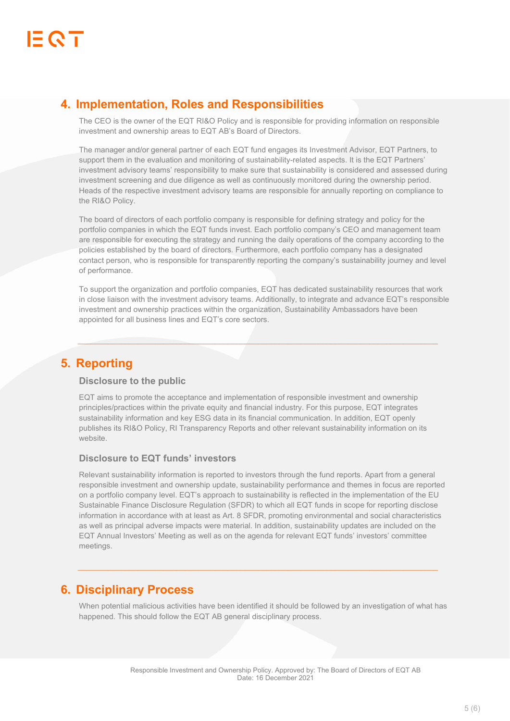## **4. Implementation, Roles and Responsibilities**

The CEO is the owner of the EQT RI&O Policy and is responsible for providing information on responsible investment and ownership areas to EQT AB's Board of Directors.

The manager and/or general partner of each EQT fund engages its Investment Advisor, EQT Partners, to support them in the evaluation and monitoring of sustainability-related aspects. It is the EQT Partners' investment advisory teams' responsibility to make sure that sustainability is considered and assessed during investment screening and due diligence as well as continuously monitored during the ownership period. Heads of the respective investment advisory teams are responsible for annually reporting on compliance to the RI&O Policy.

The board of directors of each portfolio company is responsible for defining strategy and policy for the portfolio companies in which the EQT funds invest. Each portfolio company's CEO and management team are responsible for executing the strategy and running the daily operations of the company according to the policies established by the board of directors. Furthermore, each portfolio company has a designated contact person, who is responsible for transparently reporting the company's sustainability journey and level of performance.

To support the organization and portfolio companies, EQT has dedicated sustainability resources that work in close liaison with the investment advisory teams. Additionally, to integrate and advance EQT's responsible investment and ownership practices within the organization, Sustainability Ambassadors have been appointed for all business lines and EQT's core sectors.

 $\mathcal{L}$  and the state of the state of the state of the state of the state of the state of the state of the state of the state of the state of the state of the state of the state of the state of the state of the state of

## **5. Reporting**

#### **Disclosure to the public**

EQT aims to promote the acceptance and implementation of responsible investment and ownership principles/practices within the private equity and financial industry. For this purpose, EQT integrates sustainability information and key ESG data in its financial communication. In addition, EQT openly publishes its RI&O Policy, RI Transparency Reports and other relevant sustainability information on its website.

#### **Disclosure to EQT funds' investors**

Relevant sustainability information is reported to investors through the fund reports. Apart from a general responsible investment and ownership update, sustainability performance and themes in focus are reported on a portfolio company level. EQT's approach to sustainability is reflected in the implementation of the EU Sustainable Finance Disclosure Regulation (SFDR) to which all EQT funds in scope for reporting disclose information in accordance with at least as Art. 8 SFDR, promoting environmental and social characteristics as well as principal adverse impacts were material. In addition, sustainability updates are included on the EQT Annual Investors' Meeting as well as on the agenda for relevant EQT funds' investors' committee meetings.

## **6. Disciplinary Process**

When potential malicious activities have been identified it should be followed by an investigation of what has happened. This should follow the EQT AB general disciplinary process.

 $\_$  , and the state of the state of the state of the state of the state of the state of the state of the state of the state of the state of the state of the state of the state of the state of the state of the state of the